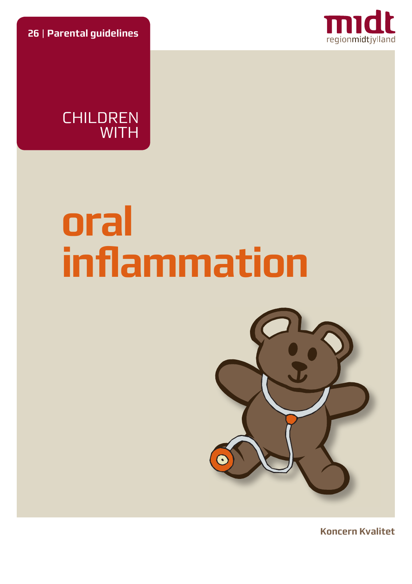**26** | **Parental guidelines**





# **oral inflammation**



**Koncern Kvalitet**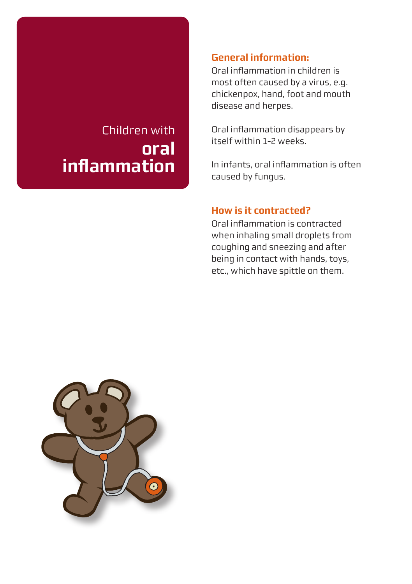# Children with **oral infl ammation**

#### **General information:**

Oral inflammation in children is most often caused by a virus, e.g. chickenpox, hand, foot and mouth disease and herpes.

Oral inflammation disappears by itself within 1-2 weeks.

In infants, oral inflammation is often caused by fungus.

#### **How is it contracted?**

Oral inflammation is contracted when inhaling small droplets from coughing and sneezing and after being in contact with hands, toys, etc., which have spittle on them.

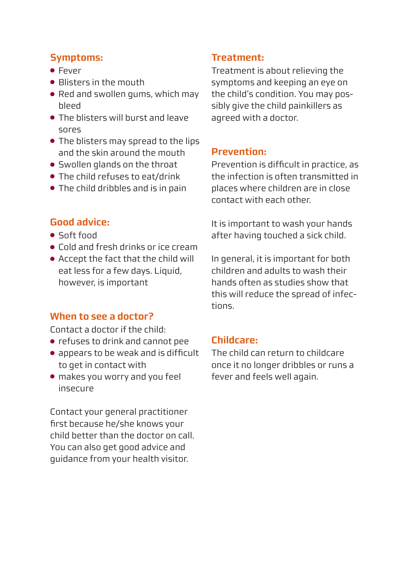#### **Symptoms:**

- Fever
- Blisters in the mouth
- Red and swollen gums, which may bleed
- The blisters will burst and leave sores
- The blisters may spread to the lips and the skin around the mouth
- Swollen glands on the throat
- $\bullet$  The child refuses to eat/drink
- The child dribbles and is in pain

# **Good advice:**

- Soft food
- Cold and fresh drinks or ice cream
- Accept the fact that the child will eat less for a few days. Liquid, however, is important

#### **When to see a doctor?**

Contact a doctor if the child:

- refuses to drink and cannot pee
- appears to be weak and is difficult to get in contact with
- makes you worry and you feel insecure

Contact your general practitioner first because he/she knows your child better than the doctor on call. You can also get good advice and guidance from your health visitor.

## **Treatment:**

Treatment is about relieving the symptoms and keeping an eye on the child's condition. You may possibly give the child painkillers as agreed with a doctor.

## **Prevention:**

Prevention is difficult in practice, as the infection is often transmitted in places where children are in close contact with each other.

It is important to wash your hands after having touched a sick child.

In general, it is important for both children and adults to wash their hands often as studies show that this will reduce the spread of infections.

#### **Childcare:**

The child can return to childcare once it no longer dribbles or runs a fever and feels well again.